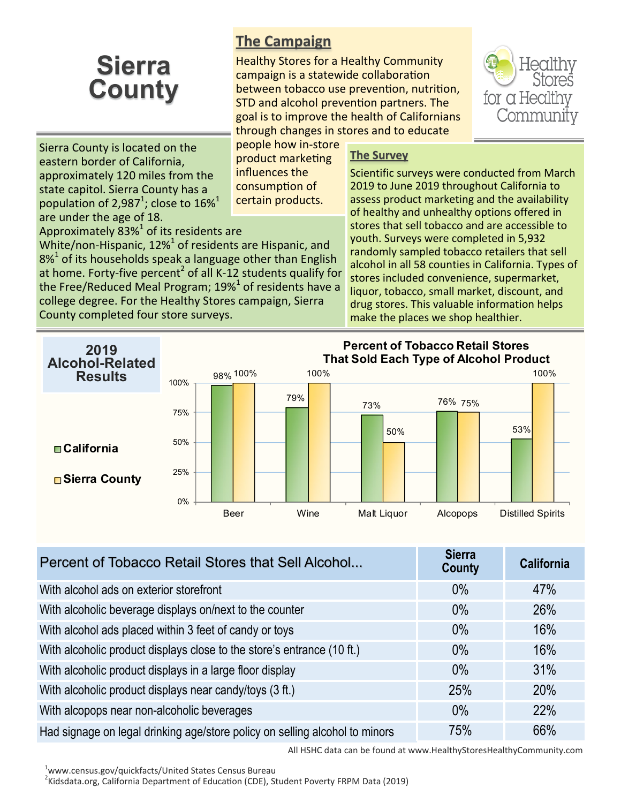## **Sierra County**

## **The Campaign**

Healthy Stores for a Healthy Community campaign is a statewide collaboration between tobacco use prevention, nutrition, STD and alcohol prevention partners. The goal is to improve the health of Californians through changes in stores and to educate



Sierra County is located on the eastern border of California, approximately 120 miles from the state capitol. Sierra County has a population of 2,987<sup>1</sup>; close to 16%<sup>1</sup> are under the age of 18. Approximately  $83\%$ <sup>1</sup> of its residents are

County completed four store surveys.

White/non-Hispanic,  $12\%$ <sup>1</sup> of residents are Hispanic, and  $8\%$ <sup>1</sup> of its households speak a language other than English at home. Forty-five percent<sup>2</sup> of all K-12 students qualify for the Free/Reduced Meal Program; 19% $^1$  of residents have a college degree. For the Healthy Stores campaign, Sierra

people how in-store product marketing influences the consumption of certain products.

## **The Survey**

Scientific surveys were conducted from March 2019 to June 2019 throughout California to assess product marketing and the availability of healthy and unhealthy options offered in stores that sell tobacco and are accessible to youth. Surveys were completed in 5,932 randomly sampled tobacco retailers that sell alcohol in all 58 counties in California. Types of stores included convenience, supermarket, liquor, tobacco, small market, discount, and drug stores. This valuable information helps make the places we shop healthier.



| Percent of Tobacco Retail Stores that Sell Alcohol                          | <b>Sierra</b><br><b>County</b> | <b>California</b> |
|-----------------------------------------------------------------------------|--------------------------------|-------------------|
| With alcohol ads on exterior storefront                                     | $0\%$                          | 47%               |
| With alcoholic beverage displays on/next to the counter                     | $0\%$                          | 26%               |
| With alcohol ads placed within 3 feet of candy or toys                      | $0\%$                          | 16%               |
| With alcoholic product displays close to the store's entrance (10 ft.)      | $0\%$                          | 16%               |
| With alcoholic product displays in a large floor display                    | $0\%$                          | 31%               |
| With alcoholic product displays near candy/toys (3 ft.)                     | 25%                            | 20%               |
| With alcopops near non-alcoholic beverages                                  | $0\%$                          | 22%               |
| Had signage on legal drinking age/store policy on selling alcohol to minors | 75%                            | 66%               |

All HSHC data can be found at www.HealthyStoresHealthyCommunity.com

<sup>1</sup>www.census.gov/quickfacts/United States Census Bureau

<sup>2</sup>Kidsdata.org, California Department of Education (CDE), Student Poverty FRPM Data (2019)